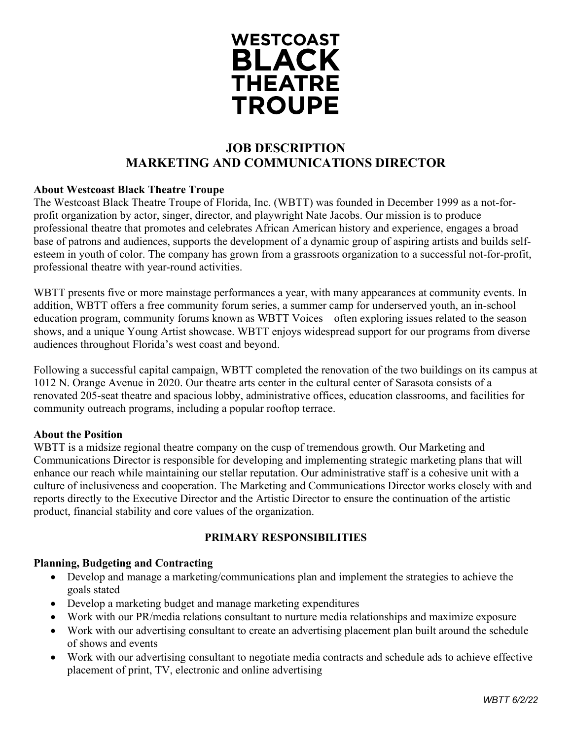

# **JOB DESCRIPTION MARKETING AND COMMUNICATIONS DIRECTOR**

### **About Westcoast Black Theatre Troupe**

The Westcoast Black Theatre Troupe of Florida, Inc. (WBTT) was founded in December 1999 as a not-forprofit organization by actor, singer, director, and playwright Nate Jacobs. Our mission is to produce professional theatre that promotes and celebrates African American history and experience, engages a broad base of patrons and audiences, supports the development of a dynamic group of aspiring artists and builds selfesteem in youth of color. The company has grown from a grassroots organization to a successful not-for-profit, professional theatre with year-round activities.

WBTT presents five or more mainstage performances a year, with many appearances at community events. In addition, WBTT offers a free community forum series, a summer camp for underserved youth, an in-school education program, community forums known as WBTT Voices—often exploring issues related to the season shows, and a unique Young Artist showcase. WBTT enjoys widespread support for our programs from diverse audiences throughout Florida's west coast and beyond.

Following a successful capital campaign, WBTT completed the renovation of the two buildings on its campus at 1012 N. Orange Avenue in 2020. Our theatre arts center in the cultural center of Sarasota consists of a renovated 205-seat theatre and spacious lobby, administrative offices, education classrooms, and facilities for community outreach programs, including a popular rooftop terrace.

#### **About the Position**

WBTT is a midsize regional theatre company on the cusp of tremendous growth. Our Marketing and Communications Director is responsible for developing and implementing strategic marketing plans that will enhance our reach while maintaining our stellar reputation. Our administrative staff is a cohesive unit with a culture of inclusiveness and cooperation. The Marketing and Communications Director works closely with and reports directly to the Executive Director and the Artistic Director to ensure the continuation of the artistic product, financial stability and core values of the organization.

#### **PRIMARY RESPONSIBILITIES**

#### **Planning, Budgeting and Contracting**

- Develop and manage a marketing/communications plan and implement the strategies to achieve the goals stated
- Develop a marketing budget and manage marketing expenditures
- Work with our PR/media relations consultant to nurture media relationships and maximize exposure
- Work with our advertising consultant to create an advertising placement plan built around the schedule of shows and events
- Work with our advertising consultant to negotiate media contracts and schedule ads to achieve effective placement of print, TV, electronic and online advertising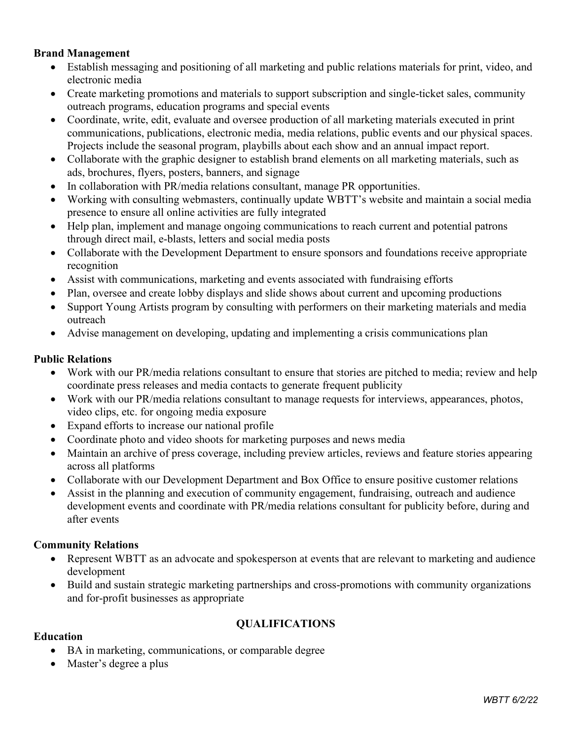#### **Brand Management**

- Establish messaging and positioning of all marketing and public relations materials for print, video, and electronic media
- Create marketing promotions and materials to support subscription and single-ticket sales, community outreach programs, education programs and special events
- Coordinate, write, edit, evaluate and oversee production of all marketing materials executed in print communications, publications, electronic media, media relations, public events and our physical spaces. Projects include the seasonal program, playbills about each show and an annual impact report.
- Collaborate with the graphic designer to establish brand elements on all marketing materials, such as ads, brochures, flyers, posters, banners, and signage
- In collaboration with PR/media relations consultant, manage PR opportunities.
- Working with consulting webmasters, continually update WBTT's website and maintain a social media presence to ensure all online activities are fully integrated
- Help plan, implement and manage ongoing communications to reach current and potential patrons through direct mail, e-blasts, letters and social media posts
- Collaborate with the Development Department to ensure sponsors and foundations receive appropriate recognition
- Assist with communications, marketing and events associated with fundraising efforts
- Plan, oversee and create lobby displays and slide shows about current and upcoming productions
- Support Young Artists program by consulting with performers on their marketing materials and media outreach
- Advise management on developing, updating and implementing a crisis communications plan

#### **Public Relations**

- Work with our PR/media relations consultant to ensure that stories are pitched to media; review and help coordinate press releases and media contacts to generate frequent publicity
- Work with our PR/media relations consultant to manage requests for interviews, appearances, photos, video clips, etc. for ongoing media exposure
- Expand efforts to increase our national profile
- Coordinate photo and video shoots for marketing purposes and news media
- Maintain an archive of press coverage, including preview articles, reviews and feature stories appearing across all platforms
- Collaborate with our Development Department and Box Office to ensure positive customer relations
- Assist in the planning and execution of community engagement, fundraising, outreach and audience development events and coordinate with PR/media relations consultant for publicity before, during and after events

#### **Community Relations**

- Represent WBTT as an advocate and spokesperson at events that are relevant to marketing and audience development
- Build and sustain strategic marketing partnerships and cross-promotions with community organizations and for-profit businesses as appropriate

# **QUALIFICATIONS**

### **Education**

- BA in marketing, communications, or comparable degree
- Master's degree a plus